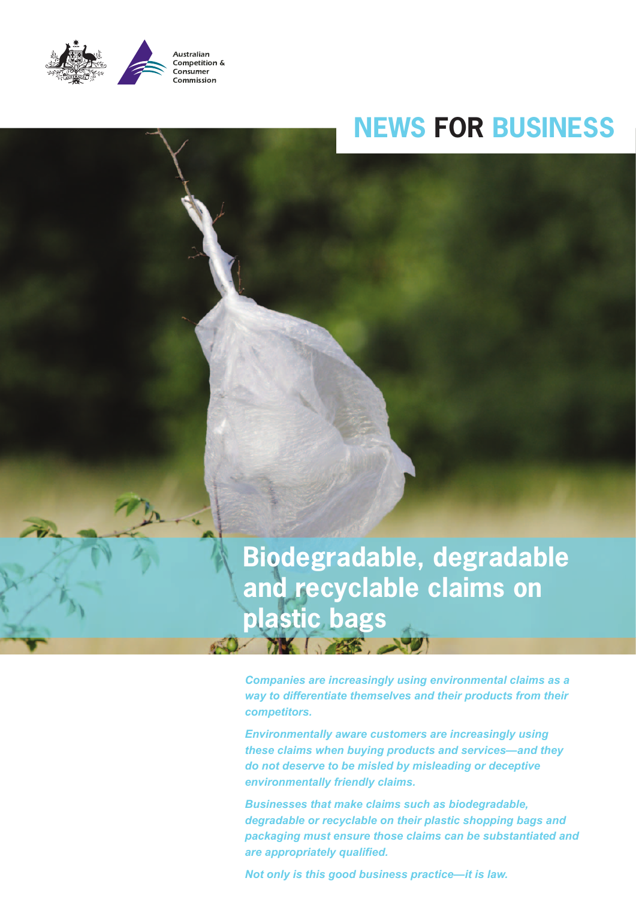

# **NEWS FOR BUSINESS**

**Biodegradable, degradable and recyclable claims on plastic bags**

*Companies are increasingly using environmental claims as a way to differentiate themselves and their products from their competitors.* 

*Environmentally aware customers are increasingly using these claims when buying products and services—and they do not deserve to be misled by misleading or deceptive environmentally friendly claims.*

*Businesses that make claims such as biodegradable, degradable or recyclable on their plastic shopping bags and packaging must ensure those claims can be substantiated and*  **are appropriately qualified.** 

*Not only is this good business practice—it is law.*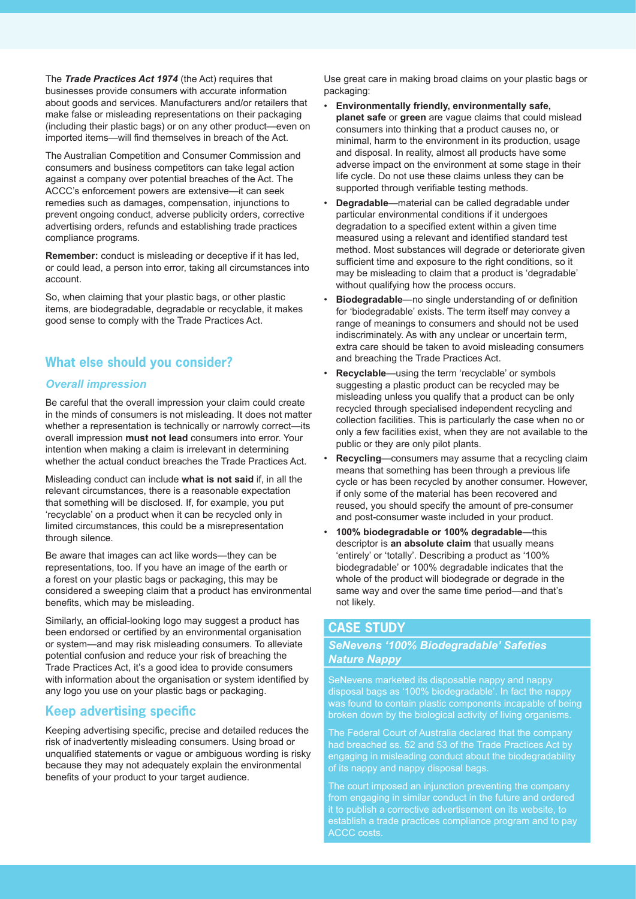The *Trade Practices Act 1974* (the Act) requires that businesses provide consumers with accurate information about goods and services. Manufacturers and/or retailers that make false or misleading representations on their packaging (including their plastic bags) or on any other product—even on imported items—will find themselves in breach of the Act.

The Australian Competition and Consumer Commission and consumers and business competitors can take legal action against a company over potential breaches of the Act. The ACCC's enforcement powers are extensive—it can seek remedies such as damages, compensation, injunctions to prevent ongoing conduct, adverse publicity orders, corrective advertising orders, refunds and establishing trade practices compliance programs.

**Remember:** conduct is misleading or deceptive if it has led, or could lead, a person into error, taking all circumstances into account.

So, when claiming that your plastic bags, or other plastic items, are biodegradable, degradable or recyclable, it makes good sense to comply with the Trade Practices Act.

# **What else should you consider?**

#### *Overall impression*

Be careful that the overall impression your claim could create in the minds of consumers is not misleading. It does not matter whether a representation is technically or narrowly correct—its overall impression **must not lead** consumers into error. Your intention when making a claim is irrelevant in determining whether the actual conduct breaches the Trade Practices Act.

Misleading conduct can include **what is not said** if, in all the relevant circumstances, there is a reasonable expectation that something will be disclosed. If, for example, you put 'recyclable' on a product when it can be recycled only in limited circumstances, this could be a misrepresentation through silence.

Be aware that images can act like words—they can be representations, too. If you have an image of the earth or a forest on your plastic bags or packaging, this may be considered a sweeping claim that a product has environmental benefits, which may be misleading.

Similarly, an official-looking logo may suggest a product has been endorsed or certified by an environmental organisation or system—and may risk misleading consumers. To alleviate potential confusion and reduce your risk of breaching the Trade Practices Act, it's a good idea to provide consumers with information about the organisation or system identified by any logo you use on your plastic bags or packaging.

# **Keep advertising specific**

Keeping advertising specific, precise and detailed reduces the risk of inadvertently misleading consumers. Using broad or unqualified statements or vague or ambiguous wording is risky because they may not adequately explain the environmental benefits of your product to your target audience.

Use great care in making broad claims on your plastic bags or packaging:

- **Environmentally friendly, environmentally safe, planet safe** or **green** are vague claims that could mislead consumers into thinking that a product causes no, or minimal, harm to the environment in its production, usage and disposal. In reality, almost all products have some adverse impact on the environment at some stage in their life cycle. Do not use these claims unless they can be supported through verifiable testing methods.
- **Degradable**—material can be called degradable under particular environmental conditions if it undergoes degradation to a specified extent within a given time measured using a relevant and identified standard test method. Most substances will degrade or deteriorate given sufficient time and exposure to the right conditions, so it may be misleading to claim that a product is 'degradable' without qualifying how the process occurs.
- **Biodegradable** no single understanding of or definition for 'biodegradable' exists. The term itself may convey a range of meanings to consumers and should not be used indiscriminately. As with any unclear or uncertain term, extra care should be taken to avoid misleading consumers and breaching the Trade Practices Act.
- **Recyclable**—using the term 'recyclable' or symbols suggesting a plastic product can be recycled may be misleading unless you qualify that a product can be only recycled through specialised independent recycling and collection facilities. This is particularly the case when no or only a few facilities exist, when they are not available to the public or they are only pilot plants.
- **Recycling**—consumers may assume that a recycling claim means that something has been through a previous life cycle or has been recycled by another consumer. However, if only some of the material has been recovered and reused, you should specify the amount of pre-consumer and post-consumer waste included in your product.
- 100% biodegradable or 100% degradable-this descriptor is **an absolute claim** that usually means 'entirely' or 'totally'. Describing a product as '100% biodegradable' or 100% degradable indicates that the whole of the product will biodegrade or degrade in the same way and over the same time period—and that's not likely.

# **CASE STUDY**

#### *SeNevens '100% Biodegradable' Safeties Nature Nappy*

SeNevens marketed its disposable nappy and nappy disposal bags as '100% biodegradable'. In fact the nappy was found to contain plastic components incapable of being broken down by the biological activity of living organisms.

The Federal Court of Australia declared that the company had breached ss. 52 and 53 of the Trade Practices Act by engaging in misleading conduct about the biodegradability of its nappy and nappy disposal bags.

The court imposed an injunction preventing the company from engaging in similar conduct in the future and ordered it to publish a corrective advertisement on its website, to establish a trade practices compliance program and to pay ACCC costs.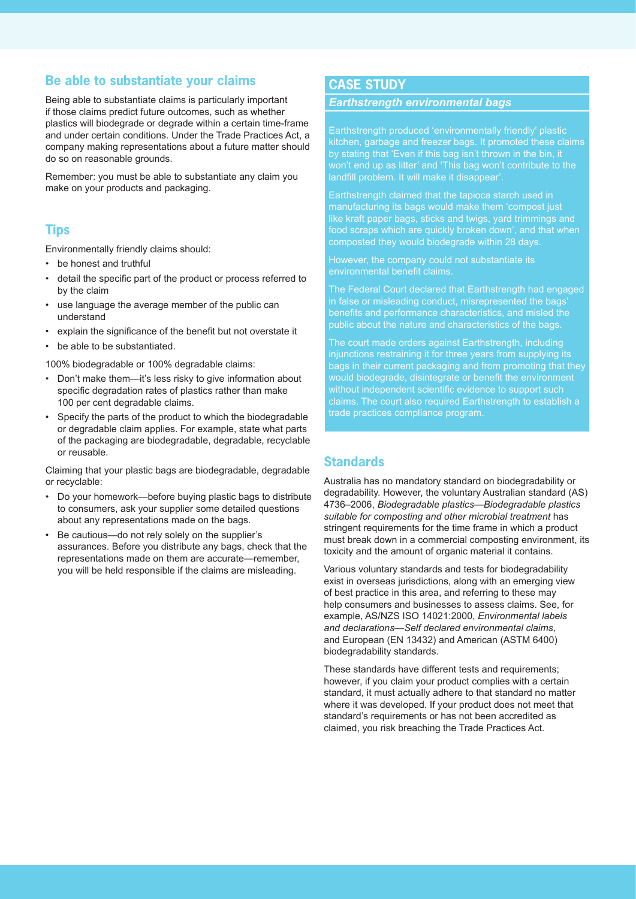### **Be able to substantiate your claims**

Being able to substantiate claims is particularly important if those claims predict future outcomes, such as whether plastics will biodegrade or degrade within a certain time-frame and under certain conditions. Under the Trade Practices Act, a company making representations about a future matter should do so on reasonable grounds.

Remember: you must be able to substantiate any claim you make on your products and packaging.

### **Tips**

Environmentally friendly claims should:

- be honest and truthful
- detail the specific part of the product or process referred to by the claim
- use language the average member of the public can understand
- explain the significance of the benefit but not overstate it
- be able to be substantiated.

100% biodegradable or 100% degradable claims:

- Don't make them—it's less risky to give information about specific degradation rates of plastics rather than make 100 per cent degradable claims.
- Specify the parts of the product to which the biodegradable or degradable claim applies. For example, state what parts of the packaging are biodegradable, degradable, recyclable or reusable.

Claiming that your plastic bags are biodegradable, degradable or recyclable:

- Do your homework—before buying plastic bags to distribute to consumers, ask your supplier some detailed questions about any representations made on the bags.
- Be cautious-do not rely solely on the supplier's assurances. Before you distribute any bags, check that the representations made on them are accurate—remember, you will be held responsible if the claims are misleading.

### **CASE STUDY**

#### *Earthstrength environmental bags*

Earthstrength produced 'environmentally friendly' plastic kitchen, garbage and freezer bags. It promoted these claims by stating that 'Even if this bag isn't thrown in the bin, it won't end up as litter' and 'This bag won't contribute to the landfill problem. It will make it disappear'

Earthstrength claimed that the tapioca starch used in manufacturing its bags would make them 'compost just like kraft paper bags, sticks and twigs, yard trimmings and food scraps which are quickly broken down', and that when composted they would biodegrade within 28 days.

However, the company could not substantiate its environmental benefit claims.

The Federal Court declared that Earthstrength had engaged in false or misleading conduct, misrepresented the bags' benefits and performance characteristics, and misled the public about the nature and characteristics of the bags.

The court made orders against Earthstrength, including injunctions restraining it for three years from supplying its bags in their current packaging and from promoting that they would biodegrade, disintegrate or benefit the environment without independent scientific evidence to support such claims. The court also required Earthstrength to establish a trade practices compliance program.

# **Standards**

Australia has no mandatory standard on biodegradability or degradability. However, the voluntary Australian standard (AS) 4736–2006, *Biodegradable plastics—Biodegradable plastics suitable for composting and other microbial treatment* has stringent requirements for the time frame in which a product must break down in a commercial composting environment, its toxicity and the amount of organic material it contains.

Various voluntary standards and tests for biodegradability exist in overseas jurisdictions, along with an emerging view of best practice in this area, and referring to these may help consumers and businesses to assess claims. See, for example, AS/NZS ISO 14021:2000, *Environmental labels and declarations—Self declared environmental claims*, and European (EN 13432) and American (ASTM 6400) biodegradability standards.

These standards have different tests and requirements; however, if you claim your product complies with a certain standard, it must actually adhere to that standard no matter where it was developed. If your product does not meet that standard's requirements or has not been accredited as claimed, you risk breaching the Trade Practices Act.